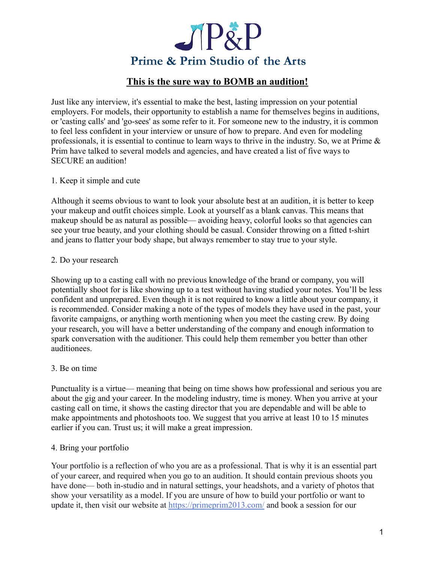

# **This is the sure way to BOMB an audition!**

Just like any interview, it's essential to make the best, lasting impression on your potential employers. For models, their opportunity to establish a name for themselves begins in auditions, or 'casting calls' and 'go-sees' as some refer to it. For someone new to the industry, it is common to feel less confident in your interview or unsure of how to prepare. And even for modeling professionals, it is essential to continue to learn ways to thrive in the industry. So, we at Prime  $\&$ Prim have talked to several models and agencies, and have created a list of five ways to SECURE an audition!

### 1. Keep it simple and cute

Although it seems obvious to want to look your absolute best at an audition, it is better to keep your makeup and outfit choices simple. Look at yourself as a blank canvas. This means that makeup should be as natural as possible— avoiding heavy, colorful looks so that agencies can see your true beauty, and your clothing should be casual. Consider throwing on a fitted t-shirt and jeans to flatter your body shape, but always remember to stay true to your style.

### 2. Do your research

Showing up to a casting call with no previous knowledge of the brand or company, you will potentially shoot for is like showing up to a test without having studied your notes. You'll be less confident and unprepared. Even though it is not required to know a little about your company, it is recommended. Consider making a note of the types of models they have used in the past, your favorite campaigns, or anything worth mentioning when you meet the casting crew. By doing your research, you will have a better understanding of the company and enough information to spark conversation with the auditioner. This could help them remember you better than other auditionees.

#### 3. Be on time

Punctuality is a virtue–– meaning that being on time shows how professional and serious you are about the gig and your career. In the modeling industry, time is money. When you arrive at your casting call on time, it shows the casting director that you are dependable and will be able to make appointments and photoshoots too. We suggest that you arrive at least 10 to 15 minutes earlier if you can. Trust us; it will make a great impression.

## 4. Bring your portfolio

Your portfolio is a reflection of who you are as a professional. That is why it is an essential part of your career, and required when you go to an audition. It should contain previous shoots you have done—both in-studio and in natural settings, your headshots, and a variety of photos that show your versatility as a model. If you are unsure of how to build your portfolio or want to update it, then visit our website at [https://primeprim2013.com/](https://primeprim2013.com/?v=7516fd43adaa) and book a session for our